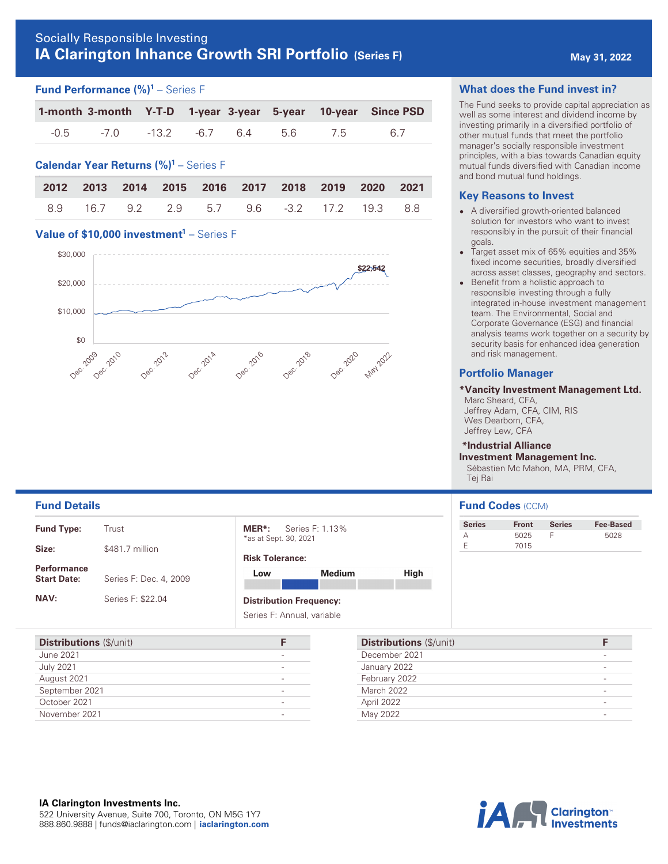# **IA Clarington Inhance Growth SRI Portfolio** (Series F) **Analyzing the May 31, 2022**

#### **Fund Performance (%) <sup>1</sup>** – Series F

|                                  |  |  | 1-month 3-month Y-T-D 1-year 3-year 5-year 10-year Since PSD |
|----------------------------------|--|--|--------------------------------------------------------------|
| -0.5 -7.0 -13.2 -6.7 6.4 5.6 7.5 |  |  | 67                                                           |

# **Calendar Year Returns (%) <sup>1</sup>** – Series F

|  |  |                                             |  |  | 2012 2013 2014 2015 2016 2017 2018 2019 2020 2021 |
|--|--|---------------------------------------------|--|--|---------------------------------------------------|
|  |  | 8.9 16.7 9.2 2.9 5.7 9.6 -3.2 17.2 19.3 8.8 |  |  |                                                   |

## **Value of \$10,000 investment<sup>1</sup> – Series F**



#### **What does the Fund invest in?**

The Fund seeks to provide capital appreciation as well as some interest and dividend income by investing primarily in a diversified portfolio of other mutual funds that meet the portfolio manager's socially responsible investment principles, with a bias towards Canadian equity mutual funds diversified with Canadian income and bond mutual fund holdings.

#### **Key Reasons to Invest**

- A diversified growth-oriented balanced solution for investors who want to invest responsibly in the pursuit of their financial goals.
- $\bullet$  Target asset mix of 65% equities and 35% fixed income securities, broadly diversified across asset classes, geography and sectors.
- $\bullet$  Benefit from a holistic approach to responsible investing through a fully integrated in-house investment management team. The Environmental, Social and Corporate Governance (ESG) and financial analysis teams work together on a security by security basis for enhanced idea generation and risk management.

### **Portfolio Manager**

#### **\*Vancity Investment Management Ltd.**

 Marc Sheard, CFA, Jeffrey Adam, CFA, CIM, RIS Wes Dearborn, CFA, Jeffrey Lew, CFA

# **\*Industrial Alliance**

**Investment Management Inc.**  Sébastien Mc Mahon, MA, PRM, CFA, Tej Rai

#### **Fund Details Fund Codes** (CCM)

| <b>Series</b> | <b>Front</b> | <b>Series</b> | <b>Fee-Based</b> |
|---------------|--------------|---------------|------------------|
|               | 5025         |               | 5028             |
|               | 7015         |               |                  |

| <b>Fund Type:</b>                        | Trust                  |
|------------------------------------------|------------------------|
| Size:                                    | \$481.7 million        |
| <b>Performance</b><br><b>Start Date:</b> | Series F: Dec. 4, 2009 |
| <b>NAV:</b>                              | Series F: \$22.04      |

**MER\*:** Series F: 1.13% \*as at Sept. 30, 2021

#### **Risk Tolerance:**

| Low                | <b>Medium</b> | <b>High</b> |
|--------------------|---------------|-------------|
|                    |               |             |
| .<br>$\sim$ $\sim$ |               |             |

#### **Distribution Frequency:**

Series F: Annual, variable

| <b>Distributions (\$/unit)</b> |  |
|--------------------------------|--|
| June 2021                      |  |
| <b>July 2021</b>               |  |
| August 2021                    |  |
| September 2021                 |  |
| October 2021                   |  |
| November 2021                  |  |
|                                |  |

| <b>Distributions (\$/unit)</b> |  |
|--------------------------------|--|
| December 2021                  |  |
| January 2022                   |  |
| February 2022                  |  |
| March 2022                     |  |
| April 2022                     |  |
| May 2022                       |  |